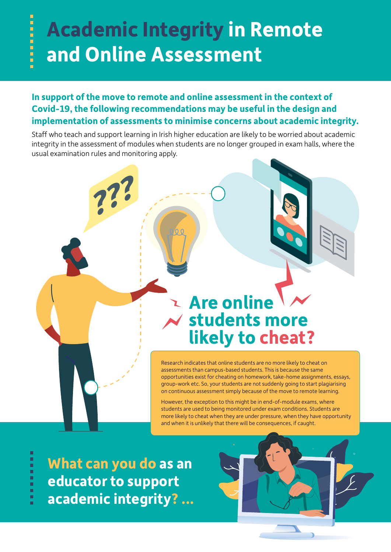## **Academic Integrity in Remote and Online Assessment**

## **In support of the move to remote and online assessment in the context of Covid-19, the following recommendations may be useful in the design and implementation of assessments to minimise concerns about academic integrity.**

Staff who teach and support learning in Irish higher education are likely to be worried about academic integrity in the assessment of modules when students are no longer grouped in exam halls, where the usual examination rules and monitoring apply.

## **Are online students more likely to cheat?**

Research indicates that online students are no more likely to cheat on assessments than campus-based students. This is because the same opportunities exist for cheating on homework, take-home assignments, essays, group-work etc. So, your students are not suddenly going to start plagiarising on continuous assessment simply because of the move to remote learning.

However, the exception to this might be in end-of-module exams, where students are used to being monitored under exam conditions. Students are more likely to cheat when they are under pressure, when they have opportunity and when it is unlikely that there will be consequences, if caught.

**What can you do as an educator to support academic integrity? ...**